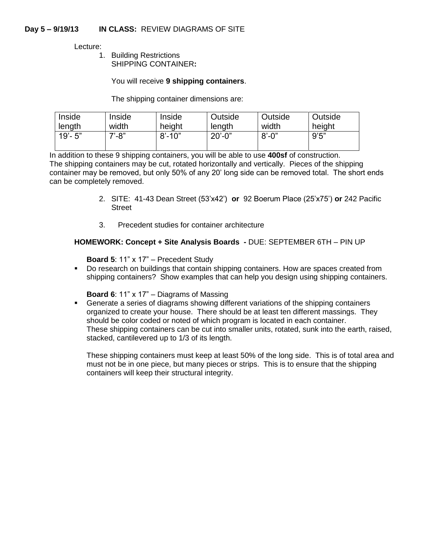Lecture:

1. Building Restrictions SHIPPING CONTAINER**:**

## You will receive **9 shipping containers**.

The shipping container dimensions are:

| Inside      | Inside    | Inside     | Outside     | Outside    | Outside |
|-------------|-----------|------------|-------------|------------|---------|
| length      | width     | height     | length      | width      | height  |
| $19' - 5''$ | $7' - 8"$ | $8' - 10"$ | $20' - 0''$ | $8' - 0''$ | 9'5''   |

In addition to these 9 shipping containers, you will be able to use **400sf** of construction. The shipping containers may be cut, rotated horizontally and vertically. Pieces of the shipping container may be removed, but only 50% of any 20' long side can be removed total. The short ends can be completely removed.

- 2. SITE: 41-43 Dean Street (53'x42') **or** 92 Boerum Place (25'x75') **or** 242 Pacific Street
- 3. Precedent studies for container architecture

## **HOMEWORK: Concept + Site Analysis Boards -** DUE: SEPTEMBER 6TH – PIN UP

**Board 5**: 11" x 17" – Precedent Study

**Do research on buildings that contain shipping containers. How are spaces created from** shipping containers? Show examples that can help you design using shipping containers.

**Board 6**: 11" x 17" – Diagrams of Massing

 Generate a series of diagrams showing different variations of the shipping containers organized to create your house. There should be at least ten different massings. They should be color coded or noted of which program is located in each container. These shipping containers can be cut into smaller units, rotated, sunk into the earth, raised, stacked, cantilevered up to 1/3 of its length.

These shipping containers must keep at least 50% of the long side. This is of total area and must not be in one piece, but many pieces or strips. This is to ensure that the shipping containers will keep their structural integrity.